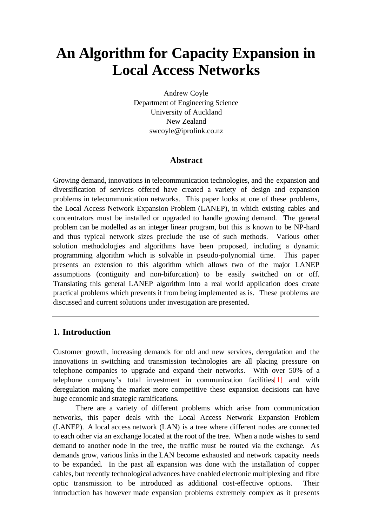# **An Algorithm for Capacity Expansion in Local Access Networks**

Andrew Coyle Department of Engineering Science University of Auckland New Zealand swcoyle@iprolink.co.nz

# **Abstract**

Growing demand, innovations in telecommunication technologies, and the expansion and diversification of services offered have created a variety of design and expansion problems in telecommunication networks. This paper looks at one of these problems, the Local Access Network Expansion Problem (LANEP), in which existing cables and concentrators must be installed or upgraded to handle growing demand. The general problem can be modelled as an integer linear program, but this is known to be NP-hard and thus typical network sizes preclude the use of such methods. Various other solution methodologies and algorithms have been proposed, including a dynamic programming algorithm which is solvable in pseudo-polynomial time. This paper presents an extension to this algorithm which allows two of the major LANEP assumptions (contiguity and non-bifurcation) to be easily switched on or off. Translating this general LANEP algorithm into a real world application does create practical problems which prevents it from being implemented as is. These problems are discussed and current solutions under investigation are presented.

## **1. Introduction**

Customer growth, increasing demands for old and new services, deregulation and the innovations in switching and transmission technologies are all placing pressure on telephone companies to upgrade and expand their networks. With over 50% of a telephone company's total investment in communication facilities[1] and with deregulation making the market more competitive these expansion decisions can have huge economic and strategic ramifications.

There are a variety of different problems which arise from communication networks, this paper deals with the Local Access Network Expansion Problem (LANEP). A local access network (LAN) is a tree where different nodes are connected to each other via an exchange located at the root of the tree. When a node wishes to send demand to another node in the tree, the traffic must be routed via the exchange. As demands grow, various links in the LAN become exhausted and network capacity needs to be expanded. In the past all expansion was done with the installation of copper cables, but recently technological advances have enabled electronic multiplexing and fibre optic transmission to be introduced as additional cost-effective options. Their introduction has however made expansion problems extremely complex as it presents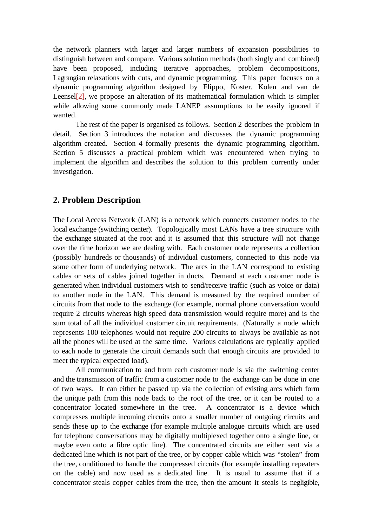the network planners with larger and larger numbers of expansion possibilities to distinguish between and compare. Various solution methods (both singly and combined) have been proposed, including iterative approaches, problem decompositions, Lagrangian relaxations with cuts, and dynamic programming. This paper focuses on a dynamic programming algorithm designed by Flippo, Koster, Kolen and van de Leensel<sup>[2]</sup>, we propose an alteration of its mathematical formulation which is simpler while allowing some commonly made LANEP assumptions to be easily ignored if wanted.

The rest of the paper is organised as follows. Section 2 describes the problem in detail. Section 3 introduces the notation and discusses the dynamic programming algorithm created. Section 4 formally presents the dynamic programming algorithm. Section 5 discusses a practical problem which was encountered when trying to implement the algorithm and describes the solution to this problem currently under investigation.

# **2. Problem Description**

The Local Access Network (LAN) is a network which connects customer nodes to the local exchange (switching center). Topologically most LANs have a tree structure with the exchange situated at the root and it is assumed that this structure will not change over the time horizon we are dealing with. Each customer node represents a collection (possibly hundreds or thousands) of individual customers, connected to this node via some other form of underlying network. The arcs in the LAN correspond to existing cables or sets of cables joined together in ducts. Demand at each customer node is generated when individual customers wish to send/receive traffic (such as voice or data) to another node in the LAN. This demand is measured by the required number of circuits from that node to the exchange (for example, normal phone conversation would require 2 circuits whereas high speed data transmission would require more) and is the sum total of all the individual customer circuit requirements. (Naturally a node which represents 100 telephones would not require 200 circuits to always be available as not all the phones will be used at the same time. Various calculations are typically applied to each node to generate the circuit demands such that enough circuits are provided to meet the typical expected load).

All communication to and from each customer node is via the switching center and the transmission of traffic from a customer node to the exchange can be done in one of two ways. It can either be passed up via the collection of existing arcs which form the unique path from this node back to the root of the tree, or it can be routed to a concentrator located somewhere in the tree. A concentrator is a device which compresses multiple incoming circuits onto a smaller number of outgoing circuits and sends these up to the exchange (for example multiple analogue circuits which are used for telephone conversations may be digitally multiplexed together onto a single line, or maybe even onto a fibre optic line). The concentrated circuits are either sent via a dedicated line which is not part of the tree, or by copper cable which was "stolen" from the tree, conditioned to handle the compressed circuits (for example installing repeaters on the cable) and now used as a dedicated line. It is usual to assume that if a concentrator steals copper cables from the tree, then the amount it steals is negligible,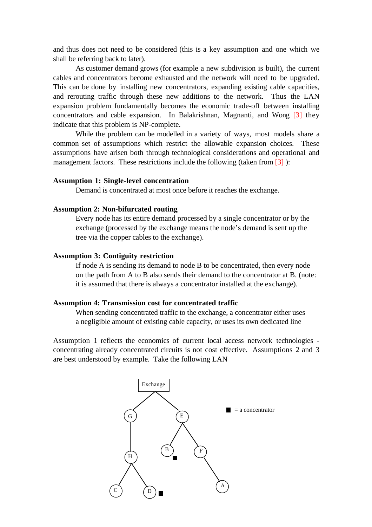and thus does not need to be considered (this is a key assumption and one which we shall be referring back to later).

As customer demand grows (for example a new subdivision is built), the current cables and concentrators become exhausted and the network will need to be upgraded. This can be done by installing new concentrators, expanding existing cable capacities, and rerouting traffic through these new additions to the network. Thus the LAN expansion problem fundamentally becomes the economic trade-off between installing concentrators and cable expansion. In Balakrishnan, Magnanti, and Wong [3] they indicate that this problem is NP-complete.

While the problem can be modelled in a variety of ways, most models share a common set of assumptions which restrict the allowable expansion choices. These assumptions have arisen both through technological considerations and operational and management factors. These restrictions include the following (taken from  $\lceil 3 \rceil$ ):

#### **Assumption 1: Single-level concentration**

Demand is concentrated at most once before it reaches the exchange.

#### **Assumption 2: Non-bifurcated routing**

Every node has its entire demand processed by a single concentrator or by the exchange (processed by the exchange means the node's demand is sent up the tree via the copper cables to the exchange).

#### **Assumption 3: Contiguity restriction**

If node A is sending its demand to node B to be concentrated, then every node on the path from A to B also sends their demand to the concentrator at B. (note: it is assumed that there is always a concentrator installed at the exchange).

#### **Assumption 4: Transmission cost for concentrated traffic**

When sending concentrated traffic to the exchange, a concentrator either uses a negligible amount of existing cable capacity, or uses its own dedicated line

Assumption 1 reflects the economics of current local access network technologies concentrating already concentrated circuits is not cost effective. Assumptions 2 and 3 are best understood by example. Take the following LAN

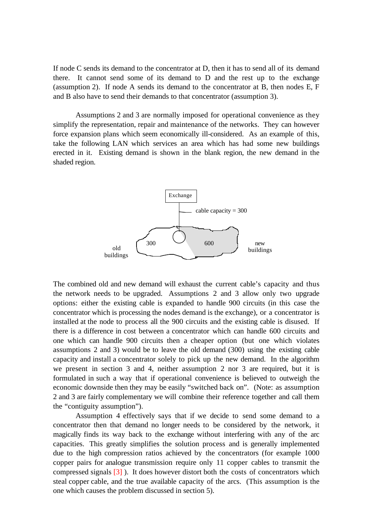If node C sends its demand to the concentrator at D, then it has to send all of its demand there. It cannot send some of its demand to D and the rest up to the exchange (assumption 2). If node A sends its demand to the concentrator at B, then nodes E, F and B also have to send their demands to that concentrator (assumption 3).

Assumptions 2 and 3 are normally imposed for operational convenience as they simplify the representation, repair and maintenance of the networks. They can however force expansion plans which seem economically ill-considered. As an example of this, take the following LAN which services an area which has had some new buildings erected in it. Existing demand is shown in the blank region, the new demand in the shaded region.



The combined old and new demand will exhaust the current cable's capacity and thus the network needs to be upgraded. Assumptions 2 and 3 allow only two upgrade options: either the existing cable is expanded to handle 900 circuits (in this case the concentrator which is processing the nodes demand is the exchange), or a concentrator is installed at the node to process all the 900 circuits and the existing cable is disused. If there is a difference in cost between a concentrator which can handle 600 circuits and one which can handle 900 circuits then a cheaper option (but one which violates assumptions 2 and 3) would be to leave the old demand (300) using the existing cable capacity and install a concentrator solely to pick up the new demand. In the algorithm we present in section 3 and 4, neither assumption 2 nor 3 are required, but it is formulated in such a way that if operational convenience is believed to outweigh the economic downside then they may be easily "switched back on". (Note: as assumption 2 and 3 are fairly complementary we will combine their reference together and call them the "contiguity assumption").

Assumption 4 effectively says that if we decide to send some demand to a concentrator then that demand no longer needs to be considered by the network, it magically finds its way back to the exchange without interfering with any of the arc capacities. This greatly simplifies the solution process and is generally implemented due to the high compression ratios achieved by the concentrators (for example 1000 copper pairs for analogue transmission require only 11 copper cables to transmit the compressed signals [3] ). It does however distort both the costs of concentrators which steal copper cable, and the true available capacity of the arcs. (This assumption is the one which causes the problem discussed in section 5).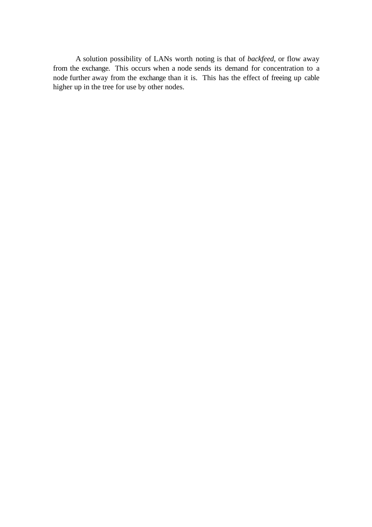A solution possibility of LANs worth noting is that of *backfeed*, or flow away from the exchange. This occurs when a node sends its demand for concentration to a node further away from the exchange than it is. This has the effect of freeing up cable higher up in the tree for use by other nodes.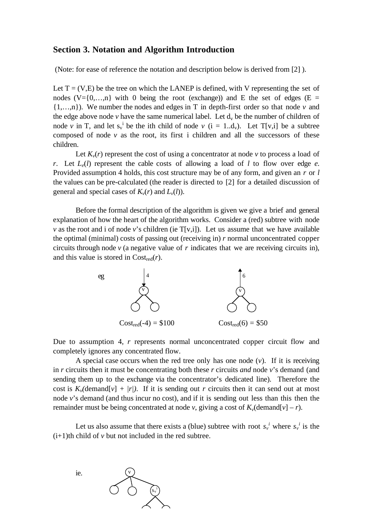#### **Section 3. Notation and Algorithm Introduction**

(Note: for ease of reference the notation and description below is derived from [2] ).

Let  $T = (V, E)$  be the tree on which the LANEP is defined, with V representing the set of nodes  $(V=\{0,\ldots,n\}$  with 0 being the root (exchange)) and E the set of edges (E = {1,…,n}). We number the nodes and edges in T in depth-first order so that node *v* and the edge above node  $v$  have the same numerical label. Let  $d_v$  be the number of children of node *v* in T, and let  $s_v^i$  be the ith child of node *v* ( $i = 1..d_v$ ). Let T[v,i] be a subtree composed of node *v* as the root, its first i children and all the successors of these children.

Let  $K_\nu(r)$  represent the cost of using a concentrator at node  $\nu$  to process a load of *r*. Let  $L_e(l)$  represent the cable costs of allowing a load of *l* to flow over edge *e*. Provided assumption 4 holds, this cost structure may be of any form, and given an *r* or *l* the values can be pre-calculated (the reader is directed to [2] for a detailed discussion of general and special cases of  $K_v(r)$  and  $L_v(l)$ ).

Before the formal description of the algorithm is given we give a brief and general explanation of how the heart of the algorithm works. Consider a (red) subtree with node *v* as the root and i of node *v*'s children (ie  $T[v,i]$ ). Let us assume that we have available the optimal (minimal) costs of passing out (receiving in) *r* normal unconcentrated copper circuits through node  $\nu$  (a negative value of  $r$  indicates that we are receiving circuits in), and this value is stored in Costred(*r*).



Due to assumption 4, *r* represents normal unconcentrated copper circuit flow and completely ignores any concentrated flow.

A special case occurs when the red tree only has one node (*v*). If it is receiving in *r* circuits then it must be concentrating both these *r* circuits *and* node *v*'s demand (and sending them up to the exchange via the concentrator's dedicated line). Therefore the cost is  $K_v$  (demand [*v*] +  $/r$ ). If it is sending out *r* circuits then it can send out at most node *v*'s demand (and thus incur no cost), and if it is sending out less than this then the remainder must be being concentrated at node *v*, giving a cost of  $K_v$  (demand[*v*] – *r*).

Let us also assume that there exists a (blue) subtree with root  $s_v^i$  where  $s_v^i$  is the  $(i+1)$ th child of  $\nu$  but not included in the red subtree.

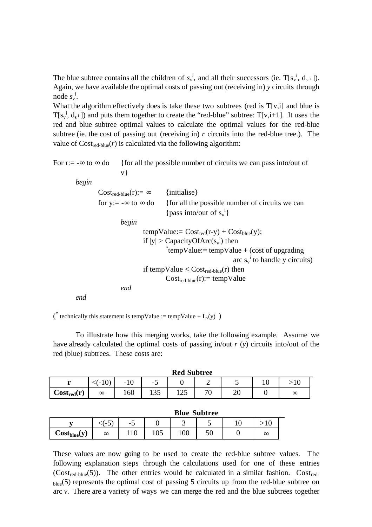The blue subtree contains all the children of  $s_v^i$ , and all their successors (ie.  $T[s_v^i, d_s]$ ). Again, we have available the optimal costs of passing out (receiving in) *y* circuits through node  $s_v^i$ .

What the algorithm effectively does is take these two subtrees (red is  $T[v,i]$  and blue is  $T[s_v^i, d_s]$  and puts them together to create the "red-blue" subtree:  $T[v,i+1]$ . It uses the red and blue subtree optimal values to calculate the optimal values for the red-blue subtree (ie. the cost of passing out (receiving in) *r* circuits into the red-blue tree.). The value of  $Cost_{\text{red-blue}}(r)$  is calculated via the following algorithm:

For r:=  $-\infty$  to  $\infty$  do {for all the possible number of circuits we can pass into/out of v}

*begin*

 $Cost_{red-blue}(r) := \infty$  {initialise} for y:=  $-\infty$  to  $\infty$  do {for all the possible number of circuits we can {pass into/out of  $s_v^i$ } *begin* tempValue:=  $Cost_{red}(r-y) + Cost_{blue}(y)$ ; if  $|y| >$  Capacity Of Arc $(s_v^i)$  then \* tempValue:= tempValue + (cost of upgrading arc  $s_v^i$  to handle y circuits) if tempValue  $<$  Cost<sub>red-blue</sub>(r) then  $Cost_{red-blue}(r) := tempValue$ *end*

*end*

(\* technically this statement is tempValue := tempValue +  $L_v(y)$ )

To illustrate how this merging works, take the following example. Assume we have already calculated the optimal costs of passing in/out *r* (*y*) circuits into/out of the red (blue) subtrees. These costs are:

| <b>Red Subtree</b>  |          |     |       |                            |                          |    |    |          |  |  |  |
|---------------------|----------|-----|-------|----------------------------|--------------------------|----|----|----------|--|--|--|
| 74.00               | -<br>◡   | -10 | - 1   |                            | ∸                        | ັ  | ็∪ |          |  |  |  |
| $\bf Cost_{red}(r)$ | $\infty$ | 160 | 1 J.J | $\cap$ $\subset$<br>ل که 1 | $\overline{\phantom{a}}$ | ∠∪ |    | $\infty$ |  |  |  |

|                   | Diue Subtree |       |       |                          |     |  |          |  |  |  |
|-------------------|--------------|-------|-------|--------------------------|-----|--|----------|--|--|--|
|                   | ີ            | - -   |       | $\overline{\phantom{0}}$ | . . |  |          |  |  |  |
| $Cost_{blue\vee}$ | $\infty$     | ⊥ ⊥ ∪ | 1 U.J | 1 V V                    | ◡◡  |  | $\infty$ |  |  |  |

These values are now going to be used to create the red-blue subtree values. The following explanation steps through the calculations used for one of these entries  $(Cost_{red-blue}(5))$ . The other entries would be calculated in a similar fashion.  $Cost_{red}$ blue(5) represents the optimal cost of passing 5 circuits up from the red-blue subtree on arc *v*. There are a variety of ways we can merge the red and the blue subtrees together

#### **Blue Subtree**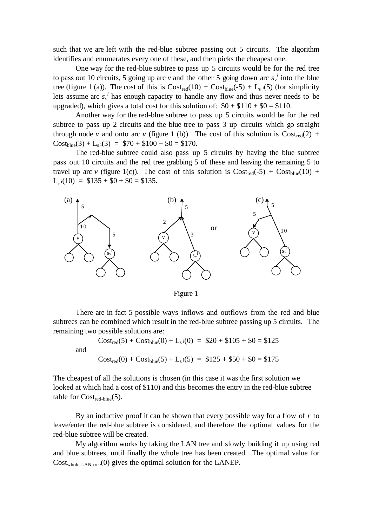such that we are left with the red-blue subtree passing out 5 circuits. The algorithm identifies and enumerates every one of these, and then picks the cheapest one.

One way for the red-blue subtree to pass up 5 circuits would be for the red tree to pass out 10 circuits, 5 going up arc *v* and the other 5 going down arc  $s_v^i$  into the blue tree (figure 1 (a)). The cost of this is  $Cost_{red}(10) + Cost_{blue}(-5) + L_s$  i(5) (for simplicity lets assume arc  $s_v^i$  has enough capacity to handle any flow and thus never needs to be upgraded), which gives a total cost for this solution of:  $$0 + $110 + $0 = $110$ .

Another way for the red-blue subtree to pass up 5 circuits would be for the red subtree to pass up 2 circuits and the blue tree to pass 3 up circuits which go straight through node *v* and onto arc *v* (figure 1 (b)). The cost of this solution is  $Cost_{red}(2)$  +  $Cost_{blue}(3) + L_s i(3) = $70 + $100 + $0 = $170.$ 

The red-blue subtree could also pass up 5 circuits by having the blue subtree pass out 10 circuits and the red tree grabbing 5 of these and leaving the remaining 5 to travel up arc *v* (figure 1(c)). The cost of this solution is  $Cost_{red}(-5) + Cost_{blue}(10) +$  $L_s$  i(10) = \$135 + \$0 + \$0 = \$135.



Figure 1

There are in fact 5 possible ways inflows and outflows from the red and blue subtrees can be combined which result in the red-blue subtree passing up 5 circuits. The remaining two possible solutions are:

$$
Cost_{red}(5) + Cost_{blue}(0) + L_s i(0) = $20 + $105 + $0 = $125
$$
  

$$
Cost_{red}(0) + Cost_{blue}(5) + L_s i(5) = $125 + $50 + $0 = $175
$$

and

The cheapest of all the solutions is chosen (in this case it was the first solution we looked at which had a cost of \$110) and this becomes the entry in the red-blue subtree table for  $Cost_{red-blue}(5)$ .

By an inductive proof it can be shown that every possible way for a flow of *r* to leave/enter the red-blue subtree is considered, and therefore the optimal values for the red-blue subtree will be created.

My algorithm works by taking the LAN tree and slowly building it up using red and blue subtrees, until finally the whole tree has been created. The optimal value for  $Cost_{whole\text{-}LAN\text{-}tree}(0)$  gives the optimal solution for the LANEP.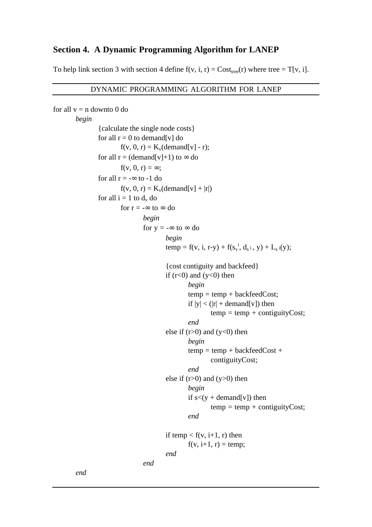# **Section 4. A Dynamic Programming Algorithm for LANEP**

To help link section 3 with section 4 define  $f(v, i, r) = Cost_{tree}(r)$  where tree = T[v, i].

#### DYNAMIC PROGRAMMING ALGORITHM FOR LANEP

```
for all v = n downto 0 do
begin
         {calculate the single node costs}
         for all r = 0 to demand[v] do
                 f(v, 0, r) = K_v(demand[v] - r);
         for all r = (demand[v]+1) to \infty do
                 f(v, 0, r) = \infty;
         for all r = -\infty to -1 do
                 f(v, 0, r) = K_v(demand[v] + |r|)for all i = 1 to d_v do
                 for r = -\infty to \infty do
                          begin
                          for y = -\infty to \infty do
                                  begin
                                   temp = f(v, i, r-y) + f(s<sub>v</sub><sup>i</sup>, d<sub>s</sub>i, y) + L<sub>s</sub>i(y);
                                  {cost contiguity and backfeed}
                                  if (r<0) and (y<0) then
                                           begin
                                           temp = temp + backfeedCost;if |y| < (|r| + demand[v]) then
                                                   temp = temp + contiguityCost;end
                                  else if (r>0) and (y<0) then
                                           begin
                                           temp = temp + backfeedCost +contiguityCost;
                                           end
                                  else if (r>0) and (y>0) then
                                           begin
                                           if s < (y + demand[v]) then
                                                   temp = temp + contiguityCost;end
                                  if temp \langle f(v, i+1, r) \rangle then
                                           f(v, i+1, r) = temp;end
                          end
end
```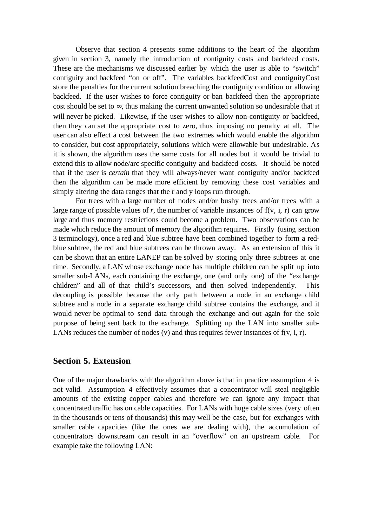Observe that section 4 presents some additions to the heart of the algorithm given in section 3, namely the introduction of contiguity costs and backfeed costs. These are the mechanisms we discussed earlier by which the user is able to "switch" contiguity and backfeed "on or off". The variables backfeedCost and contiguityCost store the penalties for the current solution breaching the contiguity condition or allowing backfeed. If the user wishes to force contiguity or ban backfeed then the appropriate cost should be set to ∞, thus making the current unwanted solution so undesirable that it will never be picked. Likewise, if the user wishes to allow non-contiguity or backfeed. then they can set the appropriate cost to zero, thus imposing no penalty at all. The user can also effect a cost between the two extremes which would enable the algorithm to consider, but cost appropriately, solutions which were allowable but undesirable. As it is shown, the algorithm uses the same costs for all nodes but it would be trivial to extend this to allow node/arc specific contiguity and backfeed costs. It should be noted that if the user is *certain* that they will always/never want contiguity and/or backfeed then the algorithm can be made more efficient by removing these cost variables and simply altering the data ranges that the r and y loops run through.

For trees with a large number of nodes and/or bushy trees and/or trees with a large range of possible values of  $r$ , the number of variable instances of  $f(v, i, r)$  can grow large and thus memory restrictions could become a problem. Two observations can be made which reduce the amount of memory the algorithm requires. Firstly (using section 3 terminology), once a red and blue subtree have been combined together to form a redblue subtree, the red and blue subtrees can be thrown away. As an extension of this it can be shown that an entire LANEP can be solved by storing only three subtrees at one time. Secondly, a LAN whose exchange node has multiple children can be split up into smaller sub-LANs, each containing the exchange, one (and only one) of the "exchange children" and all of that child's successors, and then solved independently. This decoupling is possible because the only path between a node in an exchange child subtree and a node in a separate exchange child subtree contains the exchange, and it would never be optimal to send data through the exchange and out again for the sole purpose of being sent back to the exchange. Splitting up the LAN into smaller sub-LANs reduces the number of nodes  $(v)$  and thus requires fewer instances of  $f(v, i, r)$ .

# **Section 5. Extension**

One of the major drawbacks with the algorithm above is that in practice assumption 4 is not valid. Assumption 4 effectively assumes that a concentrator will steal negligible amounts of the existing copper cables and therefore we can ignore any impact that concentrated traffic has on cable capacities. For LANs with huge cable sizes (very often in the thousands or tens of thousands) this may well be the case, but for exchanges with smaller cable capacities (like the ones we are dealing with), the accumulation of concentrators downstream can result in an "overflow" on an upstream cable. For example take the following LAN: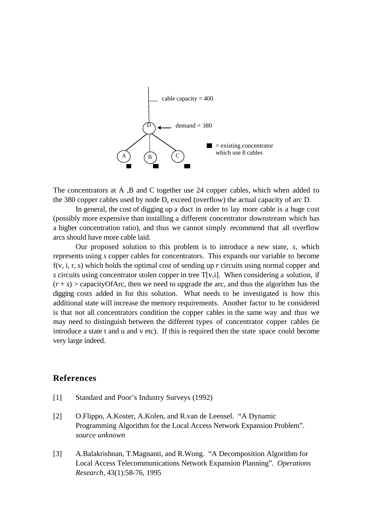

The concentrators at A, B and C together use 24 copper cables, which when added to the 380 copper cables used by node D, exceed (overflow) the actual capacity of arc D.

In general, the cost of digging up a duct in order to lay more cable is a huge cost (possibly more expensive than installing a different concentrator downstream which has a higher concentration ratio), and thus we cannot simply recommend that all overflow arcs should have more cable laid.

Our proposed solution to this problem is to introduce a new state, *s*, which represents using *s* copper cables for concentrators. This expands our variable to become f(v, i, r, s) which holds the optimal cost of sending up *r* circuits using normal copper and *s* circuits using concentrator stolen copper in tree T[v,i]. When considering a solution, if  $(r + s)$  > capacity Of Arc, then we need to upgrade the arc, and thus the algorithm has the digging costs added in for this solution. What needs to be investigated is how this additional state will increase the memory requirements. Another factor to be considered is that not all concentrators condition the copper cables in the same way and thus we may need to distinguish between the different types of concentrator copper cables (ie introduce a state t and u and v etc). If this is required then the state space could become very large indeed.

### **References**

- [1] Standard and Poor's Industry Surveys (1992)
- [2] O.Flippo, A.Koster, A.Kolen, and R.van de Leensel. "A Dynamic Programming Algorithm for the Local Access Network Expansion Problem". *source unknown*
- [3] A.Balakrishnan, T.Magnanti, and R.Wong. "A Decomposition Algorithm for Local Access Telecommunications Network Expansion Planning". *Operations Research*, 43(1):58-76, 1995